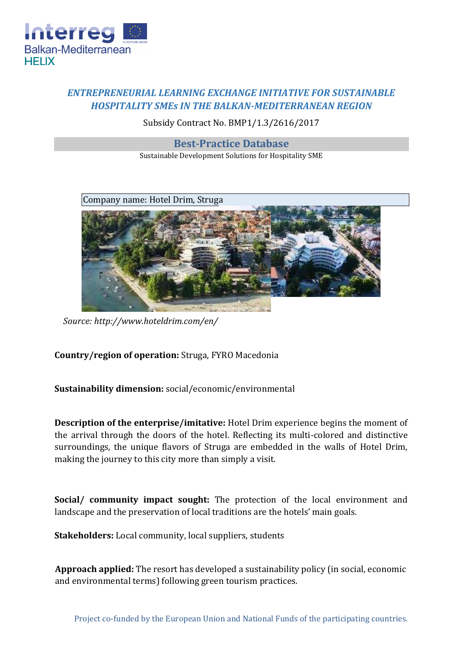

## *ENTREPRENEURIAL LEARNING EXCHANGE INITIATIVE FOR SUSTAINABLE HOSPITALITY SMEs IN THE BALKAN-MEDITERRANEAN REGION*

Subsidy Contract No. BMP1/1.3/2616/2017

**Best-Practice Database**

Sustainable Development Solutions for Hospitality SME



*Source:<http://www.hoteldrim.com/en/>*

**Country/region of operation:** Struga, FYRO Macedonia

**Sustainability dimension:** social/economic/environmental

**Description of the enterprise/imitative:** Hotel Drim experience begins the moment of the arrival through the doors of the hotel. Reflecting its multi-colored and distinctive surroundings, the unique flavors of Struga are embedded in the walls of Hotel Drim, making the journey to this city more than simply a visit.

**Social/ community impact sought:** The protection of the local environment and landscape and the preservation of local traditions are the hotels' main goals.

**Stakeholders:** Local community, local suppliers, students

**Approach applied:** The resort has developed a sustainability policy (in social, economic and environmental terms) following green tourism practices.